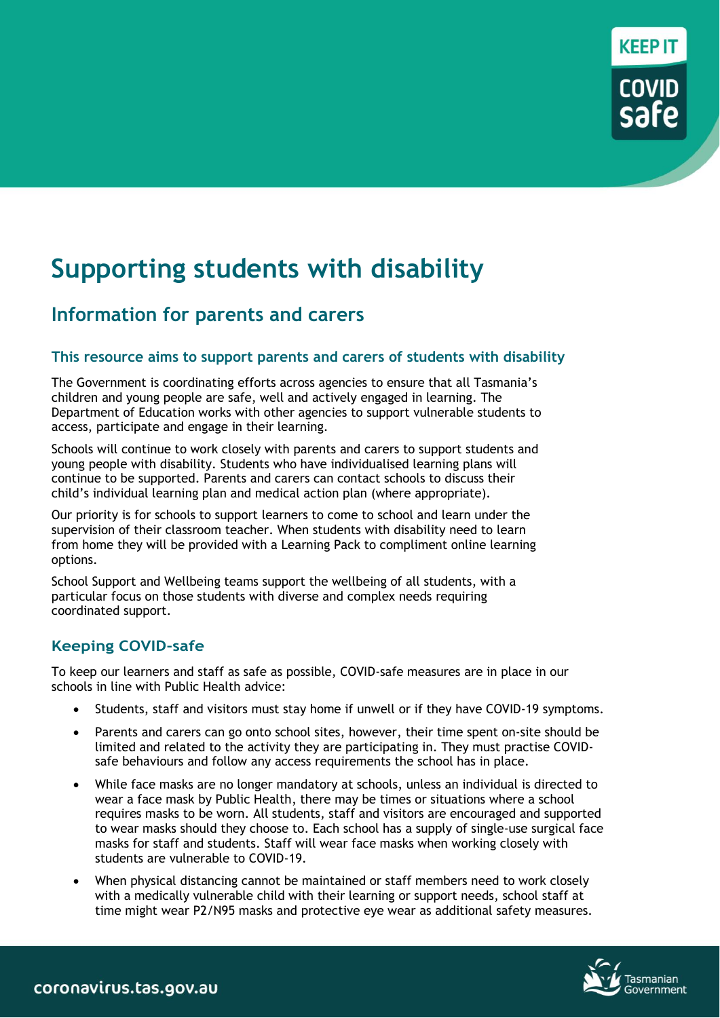# **Supporting students with disability**

# **Information for parents and carers**

### **This resource aims to support parents and carers of students with disability**

The Government is coordinating efforts across agencies to ensure that all Tasmania's children and young people are safe, well and actively engaged in learning. The Department of Education works with other agencies to support vulnerable students to access, participate and engage in their learning.

Schools will continue to work closely with parents and carers to support students and young people with disability. Students who have individualised learning plans will continue to be supported. Parents and carers can contact schools to discuss their child's individual learning plan and medical action plan (where appropriate).

Our priority is for schools to support learners to come to school and learn under the supervision of their classroom teacher. When students with disability need to learn from home they will be provided with a Learning Pack to compliment online learning options.

School Support and Wellbeing teams support the wellbeing of all students, with a particular focus on those students with diverse and complex needs requiring coordinated support.

# **Keeping COVID-safe**

To keep our learners and staff as safe as possible, COVID-safe measures are in place in our schools in line with Public Health advice:

- Students, staff and visitors must stay home if unwell or if they have COVID-19 symptoms.
- Parents and carers can go onto school sites, however, their time spent on-site should be limited and related to the activity they are participating in. They must practise COVIDsafe behaviours and follow any access requirements the school has in place.
- While face masks are no longer mandatory at schools, unless an individual is directed to wear a face mask by Public Health, there may be times or situations where a school requires masks to be worn. All students, staff and visitors are encouraged and supported to wear masks should they choose to. Each school has a supply of single-use surgical face masks for staff and students. Staff will wear face masks when working closely with students are vulnerable to COVID-19.
- When physical distancing cannot be maintained or staff members need to work closely with a medically vulnerable child with their learning or support needs, school staff at time might wear P2/N95 masks and protective eye wear as additional safety measures.



KEEP IT